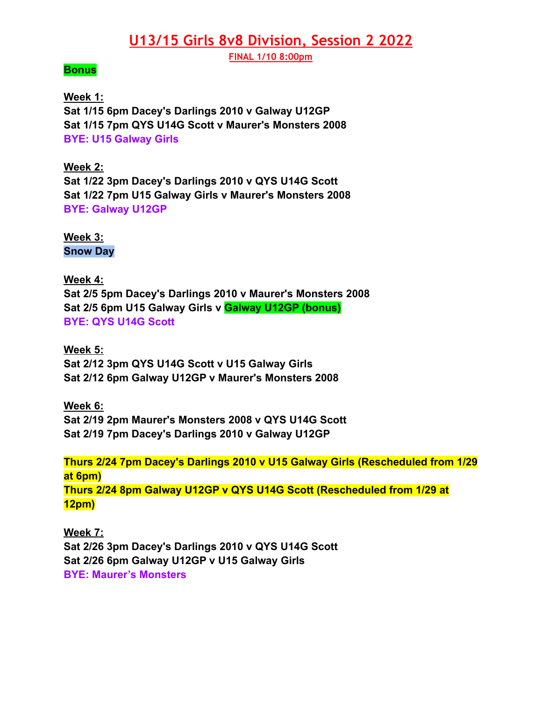## **U13/15 Girls 8v8 Division, Session 2 2022**

**FINAL 1/10 8:00pm**

## **Bonus**

**Week 1: Sat 1/15 6pm Dacey's Darlings 2010 v Galway U12GP Sat 1/15 7pm QYS U14G Scott v Maurer's Monsters 2008 BYE: U15 Galway Girls**

**Week 2: Sat 1/22 3pm Dacey's Darlings 2010 v QYS U14G Scott Sat 1/22 7pm U15 Galway Girls v Maurer's Monsters 2008 BYE: Galway U12GP**

**Week 3: Snow Day**

**Week 4: Sat 2/5 5pm Dacey's Darlings 2010 v Maurer's Monsters 2008 Sat 2/5 6pm U15 Galway Girls v Galway U12GP (bonus) BYE: QYS U14G Scott**

**Week 5: Sat 2/12 3pm QYS U14G Scott v U15 Galway Girls Sat 2/12 6pm Galway U12GP v Maurer's Monsters 2008**

**Week 6: Sat 2/19 2pm Maurer's Monsters 2008 v QYS U14G Scott Sat 2/19 7pm Dacey's Darlings 2010 v Galway U12GP**

**Thurs 2/24 7pm Dacey's Darlings 2010 v U15 Galway Girls (Rescheduled from 1/29 at 6pm) Thurs 2/24 8pm Galway U12GP v QYS U14G Scott (Rescheduled from 1/29 at 12pm)**

**Week 7: Sat 2/26 3pm Dacey's Darlings 2010 v QYS U14G Scott Sat 2/26 6pm Galway U12GP v U15 Galway Girls BYE: Maurer's Monsters**